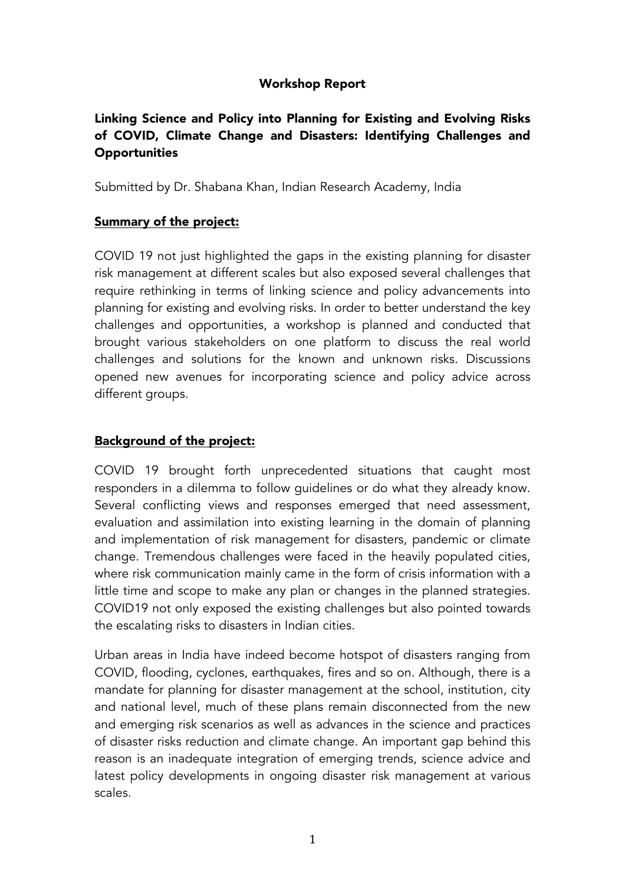## Workshop Report

# Linking Science and Policy into Planning for Existing and Evolving Risks of COVID, Climate Change and Disasters: Identifying Challenges and **Opportunities**

Submitted by Dr. Shabana Khan, Indian Research Academy, India

### Summary of the project:

COVID 19 not just highlighted the gaps in the existing planning for disaster risk management at different scales but also exposed several challenges that require rethinking in terms of linking science and policy advancements into planning for existing and evolving risks. In order to better understand the key challenges and opportunities, a workshop is planned and conducted that brought various stakeholders on one platform to discuss the real world challenges and solutions for the known and unknown risks. Discussions opened new avenues for incorporating science and policy advice across different groups.

### Background of the project:

COVID 19 brought forth unprecedented situations that caught most responders in a dilemma to follow guidelines or do what they already know. Several conflicting views and responses emerged that need assessment, evaluation and assimilation into existing learning in the domain of planning and implementation of risk management for disasters, pandemic or climate change. Tremendous challenges were faced in the heavily populated cities, where risk communication mainly came in the form of crisis information with a little time and scope to make any plan or changes in the planned strategies. COVID19 not only exposed the existing challenges but also pointed towards the escalating risks to disasters in Indian cities.

Urban areas in India have indeed become hotspot of disasters ranging from COVID, flooding, cyclones, earthquakes, fires and so on. Although, there is a mandate for planning for disaster management at the school, institution, city and national level, much of these plans remain disconnected from the new and emerging risk scenarios as well as advances in the science and practices of disaster risks reduction and climate change. An important gap behind this reason is an inadequate integration of emerging trends, science advice and latest policy developments in ongoing disaster risk management at various scales.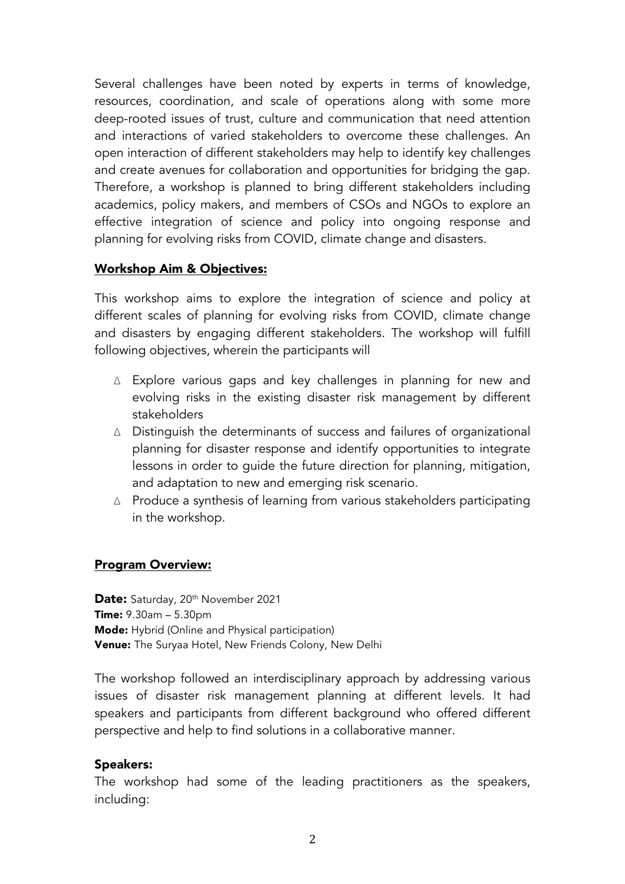Several challenges have been noted by experts in terms of knowledge, resources, coordination, and scale of operations along with some more deep-rooted issues of trust, culture and communication that need attention and interactions of varied stakeholders to overcome these challenges. An open interaction of different stakeholders may help to identify key challenges and create avenues for collaboration and opportunities for bridging the gap. Therefore, a workshop is planned to bring different stakeholders including academics, policy makers, and members of CSOs and NGOs to explore an effective integration of science and policy into ongoing response and planning for evolving risks from COVID, climate change and disasters.

### Workshop Aim & Objectives:

This workshop aims to explore the integration of science and policy at different scales of planning for evolving risks from COVID, climate change and disasters by engaging different stakeholders. The workshop will fulfill following objectives, wherein the participants will

- ∆ Explore various gaps and key challenges in planning for new and evolving risks in the existing disaster risk management by different stakeholders
- ∆ Distinguish the determinants of success and failures of organizational planning for disaster response and identify opportunities to integrate lessons in order to guide the future direction for planning, mitigation, and adaptation to new and emerging risk scenario.
- ∆ Produce a synthesis of learning from various stakeholders participating in the workshop.

### Program Overview:

Date: Saturday, 20<sup>th</sup> November 2021 Time: 9.30am – 5.30pm **Mode:** Hybrid (Online and Physical participation) Venue: The Suryaa Hotel, New Friends Colony, New Delhi

The workshop followed an interdisciplinary approach by addressing various issues of disaster risk management planning at different levels. It had speakers and participants from different background who offered different perspective and help to find solutions in a collaborative manner.

### Speakers:

The workshop had some of the leading practitioners as the speakers, including: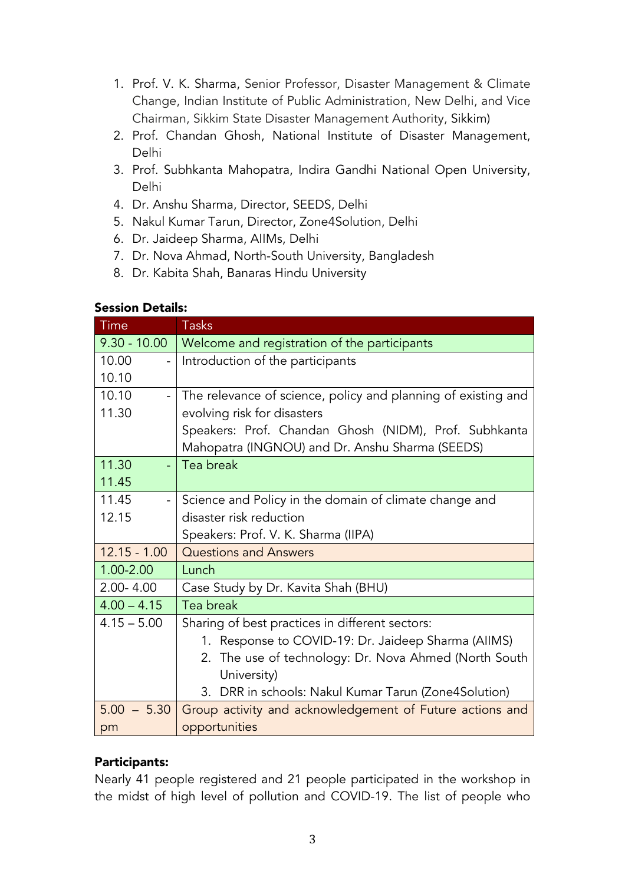- 1. Prof. V. K. Sharma, Senior Professor, Disaster Management & Climate Change, Indian Institute of Public Administration, New Delhi, and Vice Chairman, Sikkim State Disaster Management Authority, Sikkim)
- 2. Prof. Chandan Ghosh, National Institute of Disaster Management, Delhi
- 3. Prof. Subhkanta Mahopatra, Indira Gandhi National Open University, Delhi
- 4. Dr. Anshu Sharma, Director, SEEDS, Delhi
- 5. Nakul Kumar Tarun, Director, Zone4Solution, Delhi
- 6. Dr. Jaideep Sharma, AIIMs, Delhi
- 7. Dr. Nova Ahmad, North-South University, Bangladesh
- 8. Dr. Kabita Shah, Banaras Hindu University

### Session Details:

| <b>Time</b>             | <b>Tasks</b>                                                  |  |  |  |
|-------------------------|---------------------------------------------------------------|--|--|--|
| $9.30 - 10.00$          | Welcome and registration of the participants                  |  |  |  |
| 10.00<br>$\overline{a}$ | Introduction of the participants                              |  |  |  |
| 10.10                   |                                                               |  |  |  |
| 10.10<br>$\overline{a}$ | The relevance of science, policy and planning of existing and |  |  |  |
| 11.30                   | evolving risk for disasters                                   |  |  |  |
|                         | Speakers: Prof. Chandan Ghosh (NIDM), Prof. Subhkanta         |  |  |  |
|                         | Mahopatra (INGNOU) and Dr. Anshu Sharma (SEEDS)               |  |  |  |
| 11.30                   | Tea break                                                     |  |  |  |
| 11.45                   |                                                               |  |  |  |
| 11.45<br>$\overline{a}$ | Science and Policy in the domain of climate change and        |  |  |  |
| 12.15                   | disaster risk reduction                                       |  |  |  |
|                         | Speakers: Prof. V. K. Sharma (IIPA)                           |  |  |  |
| $12.15 - 1.00$          | <b>Questions and Answers</b>                                  |  |  |  |
| 1.00-2.00               | Lunch                                                         |  |  |  |
| $2.00 - 4.00$           | Case Study by Dr. Kavita Shah (BHU)                           |  |  |  |
| $4.00 - 4.15$           | Tea break                                                     |  |  |  |
| $4.15 - 5.00$           | Sharing of best practices in different sectors:               |  |  |  |
|                         | 1. Response to COVID-19: Dr. Jaideep Sharma (AIIMS)           |  |  |  |
|                         | 2. The use of technology: Dr. Nova Ahmed (North South         |  |  |  |
|                         | University)                                                   |  |  |  |
|                         | 3. DRR in schools: Nakul Kumar Tarun (Zone4Solution)          |  |  |  |
| $5.00 - 5.30$           | Group activity and acknowledgement of Future actions and      |  |  |  |
| pm                      | opportunities                                                 |  |  |  |

### Participants:

Nearly 41 people registered and 21 people participated in the workshop in the midst of high level of pollution and COVID-19. The list of people who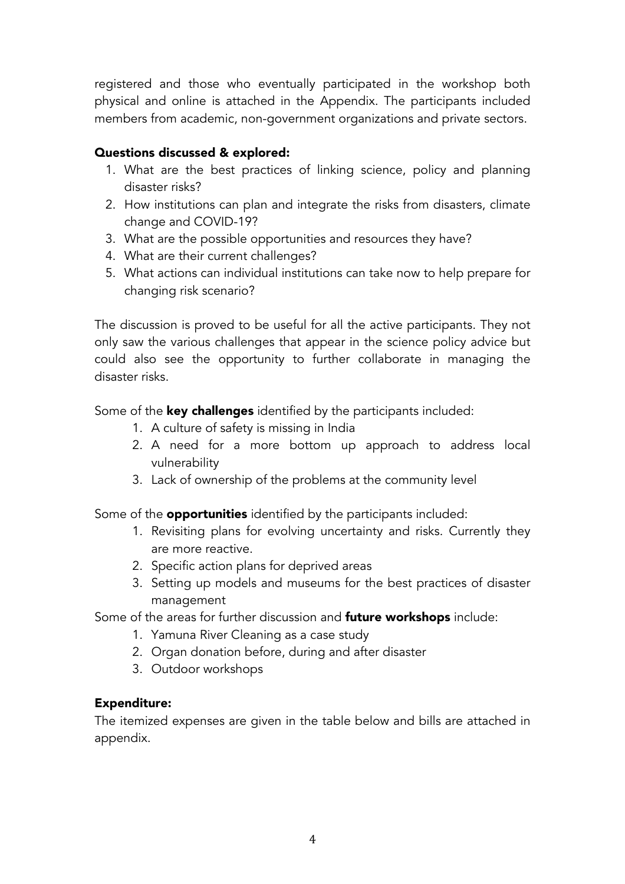registered and those who eventually participated in the workshop both physical and online is attached in the Appendix. The participants included members from academic, non-government organizations and private sectors.

## Questions discussed & explored:

- 1. What are the best practices of linking science, policy and planning disaster risks?
- 2. How institutions can plan and integrate the risks from disasters, climate change and COVID-19?
- 3. What are the possible opportunities and resources they have?
- 4. What are their current challenges?
- 5. What actions can individual institutions can take now to help prepare for changing risk scenario?

The discussion is proved to be useful for all the active participants. They not only saw the various challenges that appear in the science policy advice but could also see the opportunity to further collaborate in managing the disaster risks.

Some of the key challenges identified by the participants included:

- 1. A culture of safety is missing in India
- 2. A need for a more bottom up approach to address local vulnerability
- 3. Lack of ownership of the problems at the community level

Some of the **opportunities** identified by the participants included:

- 1. Revisiting plans for evolving uncertainty and risks. Currently they are more reactive.
- 2. Specific action plans for deprived areas
- 3. Setting up models and museums for the best practices of disaster management

Some of the areas for further discussion and **future workshops** include:

- 1. Yamuna River Cleaning as a case study
- 2. Organ donation before, during and after disaster
- 3. Outdoor workshops

### Expenditure:

The itemized expenses are given in the table below and bills are attached in appendix.